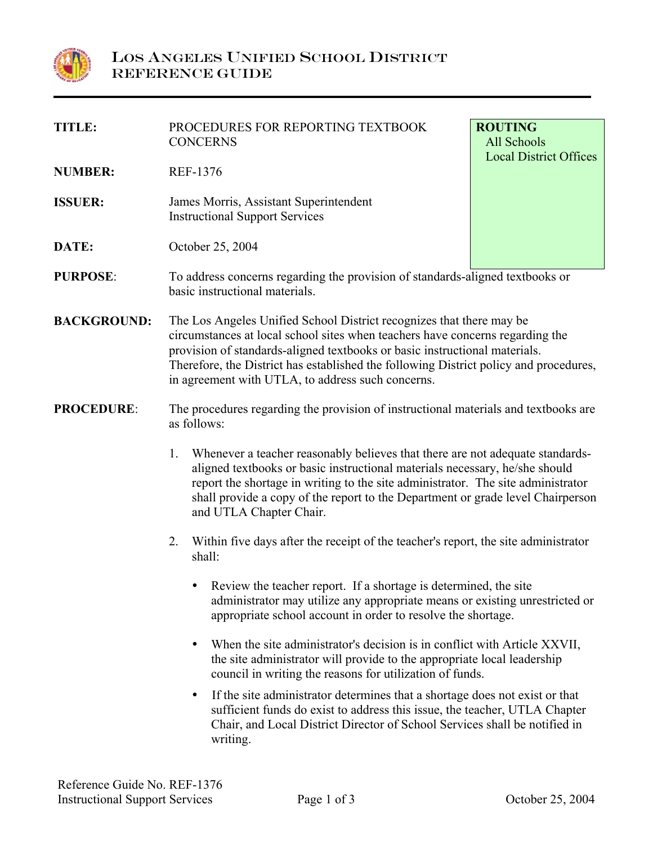

| TITLE:             | PROCEDURES FOR REPORTING TEXTBOOK<br><b>CONCERNS</b>                                                                                                                                                                                                                                                                                                                              | <b>ROUTING</b><br>All Schools |
|--------------------|-----------------------------------------------------------------------------------------------------------------------------------------------------------------------------------------------------------------------------------------------------------------------------------------------------------------------------------------------------------------------------------|-------------------------------|
| <b>NUMBER:</b>     | <b>REF-1376</b>                                                                                                                                                                                                                                                                                                                                                                   | <b>Local District Offices</b> |
| <b>ISSUER:</b>     | James Morris, Assistant Superintendent<br><b>Instructional Support Services</b>                                                                                                                                                                                                                                                                                                   |                               |
| DATE:              | October 25, 2004                                                                                                                                                                                                                                                                                                                                                                  |                               |
| <b>PURPOSE:</b>    | To address concerns regarding the provision of standards-aligned textbooks or<br>basic instructional materials.                                                                                                                                                                                                                                                                   |                               |
| <b>BACKGROUND:</b> | The Los Angeles Unified School District recognizes that there may be<br>circumstances at local school sites when teachers have concerns regarding the<br>provision of standards-aligned textbooks or basic instructional materials.<br>Therefore, the District has established the following District policy and procedures,<br>in agreement with UTLA, to address such concerns. |                               |
| <b>PROCEDURE:</b>  | The procedures regarding the provision of instructional materials and textbooks are<br>as follows:                                                                                                                                                                                                                                                                                |                               |
|                    | Whenever a teacher reasonably believes that there are not adequate standards-<br>1.<br>aligned textbooks or basic instructional materials necessary, he/she should<br>report the shortage in writing to the site administrator. The site administrator<br>shall provide a copy of the report to the Department or grade level Chairperson<br>and UTLA Chapter Chair.              |                               |
|                    | Within five days after the receipt of the teacher's report, the site administrator<br>2.<br>shall:                                                                                                                                                                                                                                                                                |                               |
|                    | Review the teacher report. If a shortage is determined, the site<br>٠<br>administrator may utilize any appropriate means or existing unrestricted or<br>appropriate school account in order to resolve the shortage.                                                                                                                                                              |                               |
|                    | When the site administrator's decision is in conflict with Article XXVII,<br>$\bullet$<br>the site administrator will provide to the appropriate local leadership<br>council in writing the reasons for utilization of funds.                                                                                                                                                     |                               |
|                    | If the site administrator determines that a shortage does not exist or that<br>٠<br>sufficient funds do exist to address this issue, the teacher, UTLA Chapter<br>Chair, and Local District Director of School Services shall be notified in<br>writing.                                                                                                                          |                               |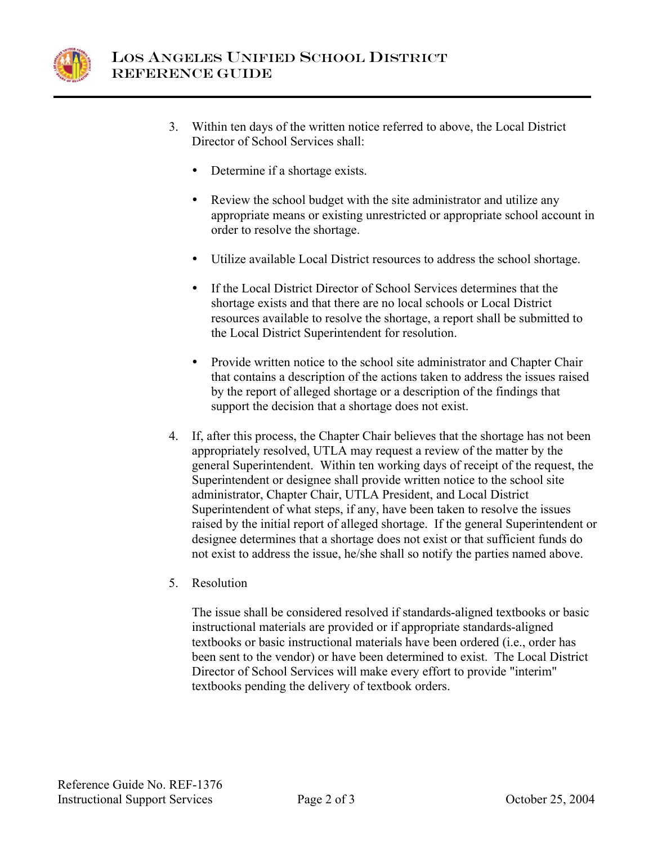

- 3. Within ten days of the written notice referred to above, the Local District Director of School Services shall:
	- Determine if a shortage exists.
	- Review the school budget with the site administrator and utilize any appropriate means or existing unrestricted or appropriate school account in order to resolve the shortage.
	- Utilize available Local District resources to address the school shortage.
	- If the Local District Director of School Services determines that the shortage exists and that there are no local schools or Local District resources available to resolve the shortage, a report shall be submitted to the Local District Superintendent for resolution.
	- Provide written notice to the school site administrator and Chapter Chair that contains a description of the actions taken to address the issues raised by the report of alleged shortage or a description of the findings that support the decision that a shortage does not exist.
- 4. If, after this process, the Chapter Chair believes that the shortage has not been appropriately resolved, UTLA may request a review of the matter by the general Superintendent. Within ten working days of receipt of the request, the Superintendent or designee shall provide written notice to the school site administrator, Chapter Chair, UTLA President, and Local District Superintendent of what steps, if any, have been taken to resolve the issues raised by the initial report of alleged shortage. If the general Superintendent or designee determines that a shortage does not exist or that sufficient funds do not exist to address the issue, he/she shall so notify the parties named above.
- 5. Resolution

The issue shall be considered resolved if standards-aligned textbooks or basic instructional materials are provided or if appropriate standards-aligned textbooks or basic instructional materials have been ordered (i.e., order has been sent to the vendor) or have been determined to exist. The Local District Director of School Services will make every effort to provide "interim" textbooks pending the delivery of textbook orders.